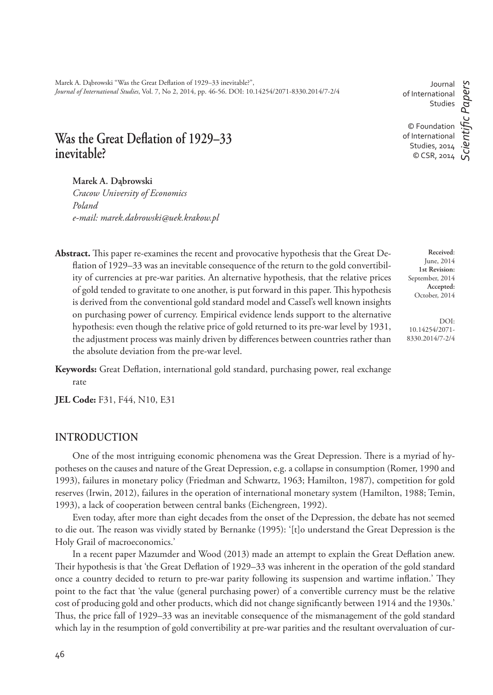Marek A. Dąbrowski "Was the Great Deflation of 1929–33 inevitable?", *Journal of International Studies*, Vol. 7, No 2, 2014, pp. 46-56. DOI: 10.14254/2071-8330.2014/7-2/4

# Was the Great Deflation of 1929–33 **inevitable?**

#### **Marek A. Dąbrowski**

*Cracow University of Economics Poland e-mail: marek.dabrowski@uek.krakow.pl*

- Abstract. This paper re-examines the recent and provocative hypothesis that the Great Deflation of 1929–33 was an inevitable consequence of the return to the gold convertibility of currencies at pre-war parities. An alternative hypothesis, that the relative prices of gold tended to gravitate to one another, is put forward in this paper. This hypothesis is derived from the conventional gold standard model and Cassel's well known insights on purchasing power of currency. Empirical evidence lends support to the alternative hypothesis: even though the relative price of gold returned to its pre-war level by 1931, the adjustment process was mainly driven by differences between countries rather than the absolute deviation from the pre-war level.
- Keywords: Great Deflation, international gold standard, purchasing power, real exchange rate

**JEL Code:** F31, F44, N10, E31

## **INTRODUCTION**

One of the most intriguing economic phenomena was the Great Depression. There is a myriad of hypotheses on the causes and nature of the Great Depression, e.g. a collapse in consumption (Romer, 1990 and 1993), failures in monetary policy (Friedman and Schwartz, 1963; Hamilton, 1987), competition for gold reserves (Irwin, 2012), failures in the operation of international monetary system (Hamilton, 1988; Temin, 1993), a lack of cooperation between central banks (Eichengreen, 1992).

Even today, after more than eight decades from the onset of the Depression, the debate has not seemed to die out. The reason was vividly stated by Bernanke (1995): '[t]o understand the Great Depression is the Holy Grail of macroeconomics.'

In a recent paper Mazumder and Wood (2013) made an attempt to explain the Great Deflation anew. Their hypothesis is that 'the Great Deflation of 1929–33 was inherent in the operation of the gold standard once a country decided to return to pre-war parity following its suspension and wartime inflation.' They point to the fact that 'the value (general purchasing power) of a convertible currency must be the relative cost of producing gold and other products, which did not change significantly between 1914 and the 1930s.' Thus, the price fall of 1929–33 was an inevitable consequence of the mismanagement of the gold standard which lay in the resumption of gold convertibility at pre-war parities and the resultant overvaluation of cur-

Journal of International Studies © Foundation of International Studies, 2014 © CSR, 2014 *ScientiÞ c Papers*

**Received**: June, 2014 **1st Revision:** September, 2014 **Accepted:** October, 2014

DOI: 10.14254/2071- 8330.2014/7-2/4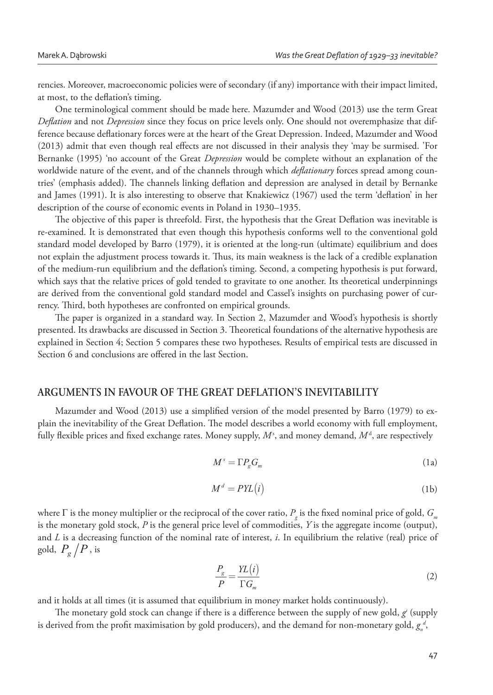rencies. Moreover, macroeconomic policies were of secondary (if any) importance with their impact limited, at most, to the deflation's timing.

One terminological comment should be made here. Mazumder and Wood (2013) use the term Great *Deflation* and not *Depression* since they focus on price levels only. One should not overemphasize that difference because deflationary forces were at the heart of the Great Depression. Indeed, Mazumder and Wood (2013) admit that even though real effects are not discussed in their analysis they 'may be surmised. 'For Bernanke (1995) 'no account of the Great *Depression* would be complete without an explanation of the worldwide nature of the event, and of the channels through which *deflationary* forces spread among countries' (emphasis added). The channels linking deflation and depression are analysed in detail by Bernanke and James (1991). It is also interesting to observe that Knakiewicz (1967) used the term 'deflation' in her description of the course of economic events in Poland in 1930–1935.

The objective of this paper is threefold. First, the hypothesis that the Great Deflation was inevitable is re-examined. It is demonstrated that even though this hypothesis conforms well to the conventional gold standard model developed by Barro (1979), it is oriented at the long-run (ultimate) equilibrium and does not explain the adjustment process towards it. Thus, its main weakness is the lack of a credible explanation of the medium-run equilibrium and the deflation's timing. Second, a competing hypothesis is put forward, which says that the relative prices of gold tended to gravitate to one another. Its theoretical underpinnings are derived from the conventional gold standard model and Cassel's insights on purchasing power of currency. Third, both hypotheses are confronted on empirical grounds.

The paper is organized in a standard way. In Section 2, Mazumder and Wood's hypothesis is shortly presented. Its drawbacks are discussed in Section 3. Theoretical foundations of the alternative hypothesis are explained in Section 4; Section 5 compares these two hypotheses. Results of empirical tests are discussed in Section 6 and conclusions are offered in the last Section.

## **ARGUMENTS IN FAVOUR OF THE GREAT DEFLATION'S INEVITABILITY**

Mazumder and Wood (2013) use a simplified version of the model presented by Barro (1979) to explain the inevitability of the Great Deflation. The model describes a world economy with full employment, fully flexible prices and fixed exchange rates. Money supply,  $M<sup>s</sup>$ , and money demand,  $M<sup>d</sup>$ , are respectively

$$
M^s = \Gamma P_g G_m \tag{1a}
$$

$$
M^d = P\mathbf{Y}L(i) \tag{1b}
$$

where  $\Gamma$  is the money multiplier or the reciprocal of the cover ratio,  $P_{_{\rm g}}$  is the fixed nominal price of gold,  $G_{_{\rm m}}$ is the monetary gold stock, *P* is the general price level of commodities, *Y* is the aggregate income (output), and *L* is a decreasing function of the nominal rate of interest, *i*. In equilibrium the relative (real) price of gold,  $P_g/P$ , is

$$
\frac{P_g}{P} = \frac{Y L(i)}{\Gamma G_m} \tag{2}
$$

and it holds at all times (it is assumed that equilibrium in money market holds continuously).

The monetary gold stock can change if there is a difference between the supply of new gold,  $g'$  (supply is derived from the profit maximisation by gold producers), and the demand for non-monetary gold,  $g_n^d$ ,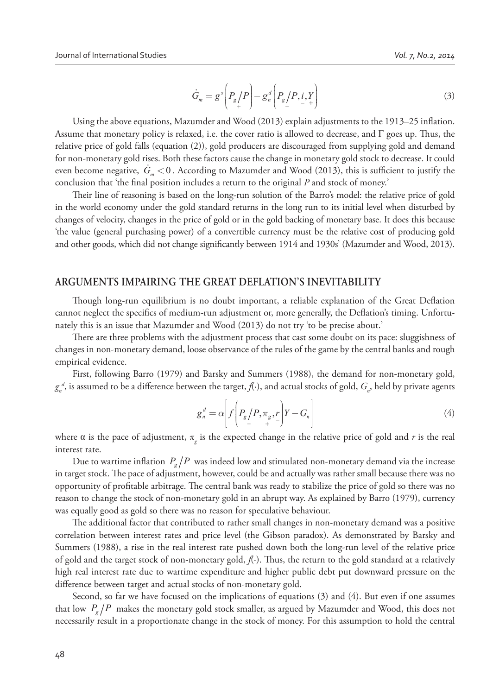$$
\dot{G}_m = g^s \left( P_g / P \right) - g_n^d \left( P_g / P, i, Y \right)
$$
\n<sup>(3)</sup>

Using the above equations, Mazumder and Wood  $(2013)$  explain adjustments to the 1913–25 inflation. Assume that monetary policy is relaxed, i.e. the cover ratio is allowed to decrease, and  $\Gamma$  goes up. Thus, the relative price of gold falls (equation (2)), gold producers are discouraged from supplying gold and demand for non-monetary gold rises. Both these factors cause the change in monetary gold stock to decrease. It could even become negative,  $\dot{G}_{m} < 0$  . According to Mazumder and Wood (2013), this is sufficient to justify the conclusion that 'the final position includes a return to the original *P* and stock of money.'

Their line of reasoning is based on the long-run solution of the Barro's model: the relative price of gold in the world economy under the gold standard returns in the long run to its initial level when disturbed by changes of velocity, changes in the price of gold or in the gold backing of monetary base. It does this because 'the value (general purchasing power) of a convertible currency must be the relative cost of producing gold and other goods, which did not change significantly between 1914 and 1930s' (Mazumder and Wood, 2013).

# **ARGUMENTS IMPAIRING THE GREAT DEFLATION'S INEVITABILITY**

Though long-run equilibrium is no doubt important, a reliable explanation of the Great Deflation cannot neglect the specifics of medium-run adjustment or, more generally, the Deflation's timing. Unfortunately this is an issue that Mazumder and Wood (2013) do not try 'to be precise about.'

There are three problems with the adjustment process that cast some doubt on its pace: sluggishness of changes in non-monetary demand, loose observance of the rules of the game by the central banks and rough empirical evidence.

First, following Barro (1979) and Barsky and Summers (1988), the demand for non-monetary gold,  $g_n^d$ , is assumed to be a difference between the target,  $f(\cdot)$ , and actual stocks of gold,  $G_{n'}$  held by private agents

$$
g_n^d = \alpha \left[ f \left( P_g / P, \pi_g, P \right) Y - G_n \right]
$$
 (4)

where  $\alpha$  is the pace of adjustment,  $\pi_{g}$  is the expected change in the relative price of gold and *r* is the real interest rate.

Due to wartime inflation  $P_g/P$  was indeed low and stimulated non-monetary demand via the increase in target stock. The pace of adjustment, however, could be and actually was rather small because there was no opportunity of profitable arbitrage. The central bank was ready to stabilize the price of gold so there was no reason to change the stock of non-monetary gold in an abrupt way. As explained by Barro (1979), currency was equally good as gold so there was no reason for speculative behaviour.

The additional factor that contributed to rather small changes in non-monetary demand was a positive correlation between interest rates and price level (the Gibson paradox). As demonstrated by Barsky and Summers (1988), a rise in the real interest rate pushed down both the long-run level of the relative price of gold and the target stock of non-monetary gold, *f*(.). Thus, the return to the gold standard at a relatively high real interest rate due to wartime expenditure and higher public debt put downward pressure on the difference between target and actual stocks of non-monetary gold.

Second, so far we have focused on the implications of equations (3) and (4). But even if one assumes that low  $P_g/P$  makes the monetary gold stock smaller, as argued by Mazumder and Wood, this does not necessarily result in a proportionate change in the stock of money. For this assumption to hold the central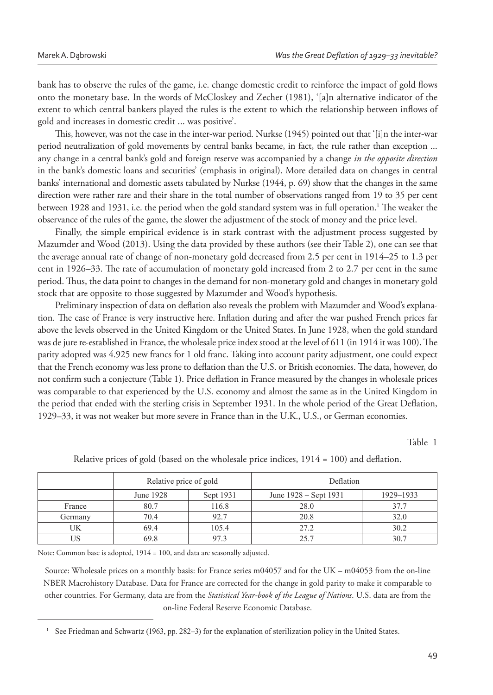bank has to observe the rules of the game, i.e. change domestic credit to reinforce the impact of gold flows onto the monetary base. In the words of McCloskey and Zecher (1981), '[a]n alternative indicator of the extent to which central bankers played the rules is the extent to which the relationship between inflows of gold and increases in domestic credit ... was positive'.

This, however, was not the case in the inter-war period. Nurkse (1945) pointed out that '[i]n the inter-war period neutralization of gold movements by central banks became, in fact, the rule rather than exception ... any change in a central bank's gold and foreign reserve was accompanied by a change *in the opposite direction* in the bank's domestic loans and securities' (emphasis in original). More detailed data on changes in central banks' international and domestic assets tabulated by Nurkse (1944, p. 69) show that the changes in the same direction were rather rare and their share in the total number of observations ranged from 19 to 35 per cent between 1928 and 1931, i.e. the period when the gold standard system was in full operation.<sup>1</sup> The weaker the observance of the rules of the game, the slower the adjustment of the stock of money and the price level.

Finally, the simple empirical evidence is in stark contrast with the adjustment process suggested by Mazumder and Wood (2013). Using the data provided by these authors (see their Table 2), one can see that the average annual rate of change of non-monetary gold decreased from 2.5 per cent in 1914–25 to 1.3 per cent in 1926–33. The rate of accumulation of monetary gold increased from 2 to 2.7 per cent in the same period. Thus, the data point to changes in the demand for non-monetary gold and changes in monetary gold stock that are opposite to those suggested by Mazumder and Wood's hypothesis.

Preliminary inspection of data on deflation also reveals the problem with Mazumder and Wood's explanation. The case of France is very instructive here. Inflation during and after the war pushed French prices far above the levels observed in the United Kingdom or the United States. In June 1928, when the gold standard was de jure re-established in France, the wholesale price index stood at the level of 611 (in 1914 it was 100). The parity adopted was 4.925 new francs for 1 old franc. Taking into account parity adjustment, one could expect that the French economy was less prone to deflation than the U.S. or British economies. The data, however, do not confirm such a conjecture (Table 1). Price deflation in France measured by the changes in wholesale prices was comparable to that experienced by the U.S. economy and almost the same as in the United Kingdom in the period that ended with the sterling crisis in September 1931. In the whole period of the Great Deflation, 1929–33, it was not weaker but more severe in France than in the U.K., U.S., or German economies.

Table 1

|         | Relative price of gold |           | Deflation             |           |  |
|---------|------------------------|-----------|-----------------------|-----------|--|
|         | June 1928              | Sept 1931 | June 1928 – Sept 1931 | 1929-1933 |  |
| France  | 80.7                   | 116.8     | 28.0                  | 377       |  |
| Germany | 70.4                   | 92.7      | 20.8                  | 32.0      |  |
| UK      | 69.4                   | 105.4     | 27.2                  | 30.2      |  |
| т те    | 69.8                   | 97.3      | 25.7                  | 30.7      |  |

Relative prices of gold (based on the wholesale price indices,  $1914 = 100$ ) and deflation.

Note: Common base is adopted, 1914 = 100, and data are seasonally adjusted.

Source: Wholesale prices on a monthly basis: for France series m04057 and for the UK – m04053 from the on-line NBER Macrohistory Database. Data for France are corrected for the change in gold parity to make it comparable to other countries. For Germany, data are from the *Statistical Year-book of the League of Nations*. U.S. data are from the on-line Federal Reserve Economic Database.

<sup>1</sup> See Friedman and Schwartz (1963, pp. 282–3) for the explanation of sterilization policy in the United States.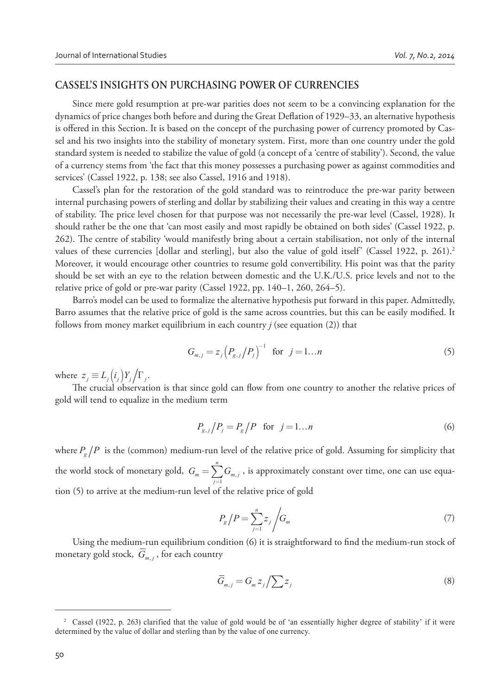#### **CASSEL'S INSIGHTS ON PURCHASING POWER OF CURRENCIES**

Since mere gold resumption at pre-war parities does not seem to be a convincing explanation for the dynamics of price changes both before and during the Great Deflation of 1929–33, an alternative hypothesis is offered in this Section. It is based on the concept of the purchasing power of currency promoted by Cassel and his two insights into the stability of monetary system. First, more than one country under the gold standard system is needed to stabilize the value of gold (a concept of a 'centre of stability'). Second, the value of a currency stems from 'the fact that this money possesses a purchasing power as against commodities and services' (Cassel 1922, p. 138; see also Cassel, 1916 and 1918).

Cassel's plan for the restoration of the gold standard was to reintroduce the pre-war parity between internal purchasing powers of sterling and dollar by stabilizing their values and creating in this way a centre of stability. The price level chosen for that purpose was not necessarily the pre-war level (Cassel, 1928). It should rather be the one that 'can most easily and most rapidly be obtained on both sides' (Cassel 1922, p. 262). The centre of stability 'would manifestly bring about a certain stabilisation, not only of the internal values of these currencies [dollar and sterling], but also the value of gold itself' (Cassel 1922, p. 261).<sup>2</sup> Moreover, it would encourage other countries to resume gold convertibility. His point was that the parity should be set with an eye to the relation between domestic and the U.K./U.S. price levels and not to the relative price of gold or pre-war parity (Cassel 1922, pp. 140–1, 260, 264–5).

Barro's model can be used to formalize the alternative hypothesis put forward in this paper. Admittedly, Barro assumes that the relative price of gold is the same across countries, but this can be easily modified. It follows from money market equilibrium in each country *j* (see equation (2)) that

$$
G_{m,j} = z_j \left( P_{g,j} / P_j \right)^{-1} \text{ for } j = 1...n
$$
 (5)

where  $z_j \equiv L_j(i_j) Y_j / \Gamma_j$ .

The crucial observation is that since gold can flow from one country to another the relative prices of gold will tend to equalize in the medium term

$$
P_{g,j}/P_j = P_g/P \quad \text{for} \quad j = 1...n \tag{6}
$$

where  $P_g/P$  is the (common) medium-run level of the relative price of gold. Assuming for simplicity that the world stock of monetary gold,  $G_m = \sum_{j=1} G_{m,j}$ *n*  $_m - \sum_{j=1}^{\infty} S_{m,j}$  $G_m = \sum_{j=1} G_{m,j}$  , is approximately constant over time, one can use equation (5) to arrive at the medium-run level of the relative price of gold

$$
P_g/P = \sum_{j=1}^n z_j \bigg/G_m \tag{7}
$$

Using the medium-run equilibrium condition (6) it is straightforward to find the medium-run stock of monetary gold stock,  $G_{m,j}$ , for each country

$$
\overline{G}_{m,j} = G_m z_j / \sum z_j \tag{8}
$$

<sup>&</sup>lt;sup>2</sup> Cassel (1922, p. 263) clarified that the value of gold would be of 'an essentially higher degree of stability' if it were determined by the value of dollar and sterling than by the value of one currency.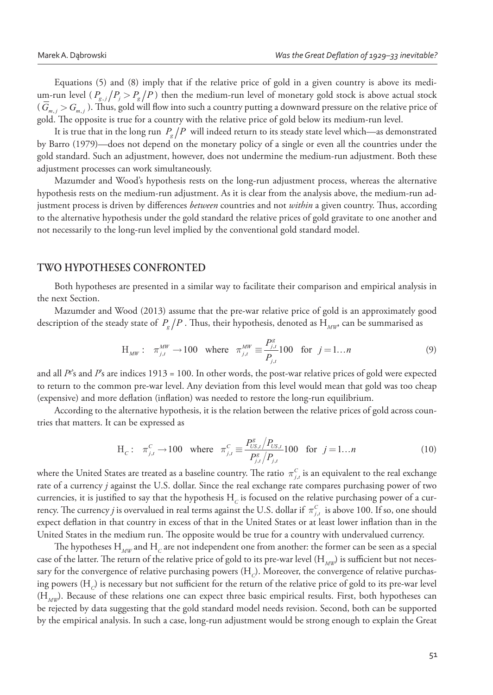Equations (5) and (8) imply that if the relative price of gold in a given country is above its medium-run level ( $P_{g,j}/P_j > P_g/P$ ) then the medium-run level of monetary gold stock is above actual stock  $(G_{m,j} > G_{m,j})$ . Thus, gold will flow into such a country putting a downward pressure on the relative price of gold. The opposite is true for a country with the relative price of gold below its medium-run level.

It is true that in the long run  $P_g/P$  will indeed return to its steady state level which—as demonstrated by Barro (1979)—does not depend on the monetary policy of a single or even all the countries under the gold standard. Such an adjustment, however, does not undermine the medium-run adjustment. Both these adjustment processes can work simultaneously.

Mazumder and Wood's hypothesis rests on the long-run adjustment process, whereas the alternative hypothesis rests on the medium-run adjustment. As it is clear from the analysis above, the medium-run adjustment process is driven by differences *between* countries and not *within* a given country. Thus, according to the alternative hypothesis under the gold standard the relative prices of gold gravitate to one another and not necessarily to the long-run level implied by the conventional gold standard model.

#### **TWO HYPOTHESES CONFRONTED**

Both hypotheses are presented in a similar way to facilitate their comparison and empirical analysis in the next Section.

Mazumder and Wood (2013) assume that the pre-war relative price of gold is an approximately good description of the steady state of  $\,P_{_g}/P$  . Thus, their hypothesis, denoted as  $\rm H_{_{\it MW}}$  can be summarised as

$$
H_{MW}: \pi_{j,t}^{MW} \to 100 \text{ where } \pi_{j,t}^{MW} \equiv \frac{P_{j,t}^{g}}{P_{j,t}} 100 \text{ for } j = 1...n
$$
 (9)

and all  $P$ *i*s and  $P$ 's are indices 1913 = 100. In other words, the post-war relative prices of gold were expected to return to the common pre-war level. Any deviation from this level would mean that gold was too cheap (expensive) and more deflation (inflation) was needed to restore the long-run equilibrium.

According to the alternative hypothesis, it is the relation between the relative prices of gold across countries that matters. It can be expressed as

$$
H_c: \pi_{j,t}^C \to 100 \text{ where } \pi_{j,t}^C \equiv \frac{P_{US,t}^s / P_{US,t}}{P_{j,t}^s / P_{j,t}} 100 \text{ for } j = 1...n
$$
 (10)

where the United States are treated as a baseline country. The ratio  $\pi^c_{j,t}$  is an equivalent to the real exchange rate of a currency *j* against the U.S. dollar. Since the real exchange rate compares purchasing power of two currencies, it is justified to say that the hypothesis  $\rm H_{\rm \scriptscriptstyle C}$  is focused on the relative purchasing power of a currency. The currency *j* is overvalued in real terms against the U.S. dollar if  $\pi_{j,t}^C$  is above 100. If so, one should expect deflation in that country in excess of that in the United States or at least lower inflation than in the United States in the medium run. The opposite would be true for a country with undervalued currency.

The hypotheses  $\mathrm{H}_{_{\mathit{MW}}}$  and  $\mathrm{H}_{_{\mathit{C}}}$  are not independent one from another: the former can be seen as a special case of the latter. The return of the relative price of gold to its pre-war level (H<sub>MW</sub>) is sufficient but not necessary for the convergence of relative purchasing powers  $(\rm H_{\it c})$ . Moreover, the convergence of relative purchasing powers (H $_{\rm \scriptscriptstyle C}$ ) is necessary but not sufficient for the return of the relative price of gold to its pre-war level (H*MW*). Because of these relations one can expect three basic empirical results. First, both hypotheses can be rejected by data suggesting that the gold standard model needs revision. Second, both can be supported by the empirical analysis. In such a case, long-run adjustment would be strong enough to explain the Great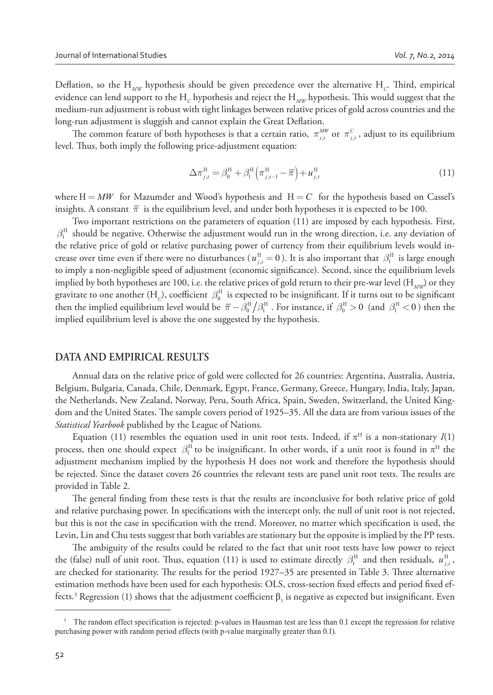Deflation, so the  $H_{\scriptscriptstyle MW}$  hypothesis should be given precedence over the alternative  $H_{\scriptscriptstyle C}$ . Third, empirical evidence can lend support to the  $\rm H_{_C}$  hypothesis and reject the  $\rm H_{_{MW}}$  hypothesis. This would suggest that the medium-run adjustment is robust with tight linkages between relative prices of gold across countries and the long-run adjustment is sluggish and cannot explain the Great Deflation.

The common feature of both hypotheses is that a certain ratio,  $\pi^{MW}_{j,t}$  or  $\pi^C_{j,t}$ , adjust to its equilibrium level. Thus, both imply the following price-adjustment equation:

$$
\Delta \pi_{j,t}^{\rm H} = \beta_0^{\rm H} + \beta_1^{\rm H} \left( \pi_{j,t-1}^{\rm H} - \overline{\pi} \right) + u_{j,t}^{\rm H}
$$
\n(11)

where  $H = MW$  for Mazumder and Wood's hypothesis and  $H = C$  for the hypothesis based on Cassel's insights. A constant  $\bar{\pi}$  is the equilibrium level, and under both hypotheses it is expected to be 100.

Two important restrictions on the parameters of equation (11) are imposed by each hypothesis. First,  $\beta_1^{\rm H}$  should be negative. Otherwise the adjustment would run in the wrong direction, i.e. any deviation of the relative price of gold or relative purchasing power of currency from their equilibrium levels would increase over time even if there were no disturbances ( $u_{j,t}^{\text{H}} = 0$ ). It is also important that  $\beta_1^{\text{H}}$  is large enough to imply a non-negligible speed of adjustment (economic significance). Second, since the equilibrium levels implied by both hypotheses are 100, i.e. the relative prices of gold return to their pre-war level (H<sub>MW</sub>) or they gravitate to one another (H<sub>c</sub>), coefficient  $\beta_0^{\text{H}}$  is expected to be insignificant. If it turns out to be significant then the implied equilibrium level would be  $\bar{\pi} - \beta_0^{\rm H} / \beta_1^{\rm H}$ . For instance, if  $\beta_0^{\rm H} > 0$  (and  $\beta_1^{\rm H} < 0$ ) then the implied equilibrium level is above the one suggested by the hypothesis.

#### **DATA AND EMPIRICAL RESULTS**

Annual data on the relative price of gold were collected for 26 countries: Argentina, Australia, Austria, Belgium, Bulgaria, Canada, Chile, Denmark, Egypt, France, Germany, Greece, Hungary, India, Italy, Japan, the Netherlands, New Zealand, Norway, Peru, South Africa, Spain, Sweden, Switzerland, the United Kingdom and the United States. The sample covers period of 1925–35. All the data are from various issues of the *Statistical Yearbook* published by the League of Nations.

Equation (11) resembles the equation used in unit root tests. Indeed, if  $\pi^H$  is a non-stationary *I*(1) process, then one should expect  $\beta_1^H$  to be insignificant. In other words, if a unit root is found in  $\pi^H$  the adjustment mechanism implied by the hypothesis H does not work and therefore the hypothesis should be rejected. Since the dataset covers 26 countries the relevant tests are panel unit root tests. The results are provided in Table 2.

The general finding from these tests is that the results are inconclusive for both relative price of gold and relative purchasing power. In specifications with the intercept only, the null of unit root is not rejected, but this is not the case in specification with the trend. Moreover, no matter which specification is used, the Levin, Lin and Chu tests suggest that both variables are stationary but the opposite is implied by the PP tests.

The ambiguity of the results could be related to the fact that unit root tests have low power to reject the (false) null of unit root. Thus, equation (11) is used to estimate directly  $\beta_1^H$  and then residuals,  $u_{j,t}^H$ , are checked for stationarity. The results for the period 1927–35 are presented in Table 3. Three alternative estimation methods have been used for each hypothesis: OLS, cross-section fixed effects and period fixed effects.<sup>3</sup> Regression (1) shows that the adjustment coefficient  $\beta_1$  is negative as expected but insignificant. Even

<sup>&</sup>lt;sup>3</sup> The random effect specification is rejected: p-values in Hausman test are less than 0.1 except the regression for relative purchasing power with random period effects (with p-value marginally greater than 0.1).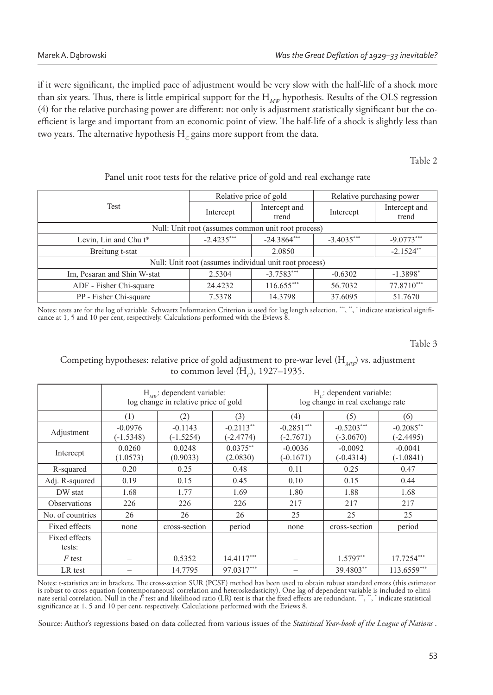if it were significant, the implied pace of adjustment would be very slow with the half-life of a shock more than six years. Thus, there is little empirical support for the H<sub>MW</sub> hypothesis. Results of the OLS regression (4) for the relative purchasing power are different: not only is adjustment statistically significant but the coefficient is large and important from an economic point of view. The half-life of a shock is slightly less than two years. The alternative hypothesis  $\mathrm{H}_{\mathnormal{C}}$  gains more support from the data.

Table 2

## Panel unit root tests for the relative price of gold and real exchange rate

|                                                        |              | Relative price of gold | Relative purchasing power |                        |  |  |  |  |  |
|--------------------------------------------------------|--------------|------------------------|---------------------------|------------------------|--|--|--|--|--|
| Test                                                   | Intercept    | Intercept and<br>trend | Intercept                 | Intercept and<br>trend |  |  |  |  |  |
| Null: Unit root (assumes common unit root process)     |              |                        |                           |                        |  |  |  |  |  |
| Levin, Lin and Chu t <sup>*</sup>                      | $-2.4235***$ | $-24.3864***$          | $-3.4035***$              | $-9.0773***$           |  |  |  |  |  |
| Breitung t-stat                                        |              | 2.0850                 |                           | $-2.1524$ **           |  |  |  |  |  |
| Null: Unit root (assumes individual unit root process) |              |                        |                           |                        |  |  |  |  |  |
| Im, Pesaran and Shin W-stat                            | 2.5304       | $-3.7583***$           | $-0.6302$                 | $-1.3898$ <sup>*</sup> |  |  |  |  |  |
| ADF - Fisher Chi-square                                | 24.4232      | $116.655***$           | 56.7032                   | 77.8710***             |  |  |  |  |  |
| PP - Fisher Chi-square                                 | 7.5378       | 14.3798                | 37.6095                   | 51.7670                |  |  |  |  |  |

Notes: tests are for the log of variable. Schwartz Information Criterion is used for lag length selection. ¨¨, ¨, ¨indicate statistical significance at 1, 5 and 10 per cent, respectively. Calculations performed with the Ev

Table 3

Competing hypotheses: relative price of gold adjustment to pre-war level (H<sub>MW</sub>) vs. adjustment to common level (H<sub>c</sub>), 1927–1935.

|                         | $H_{\mu\nu}$ : dependent variable:<br>log change in relative price of gold |                          | $H_c$ : dependent variable:<br>log change in real exchange rate |                             |                             |                          |
|-------------------------|----------------------------------------------------------------------------|--------------------------|-----------------------------------------------------------------|-----------------------------|-----------------------------|--------------------------|
|                         | $\left(1\right)$                                                           | (2)                      | (3)                                                             | (4)                         | (5)                         | (6)                      |
| Adjustment              | $-0.0976$<br>$(-1.5348)$                                                   | $-0.1143$<br>$(-1.5254)$ | $-0.2113**$<br>$(-2.4774)$                                      | $-0.2851***$<br>$(-2.7671)$ | $-0.5203***$<br>$(-3.0670)$ | $-0.2085**$<br>(-2.4495) |
| Intercept               | 0.0260<br>(1.0573)                                                         | 0.0248<br>(0.9033)       | $0.0375**$<br>(2.0830)                                          | $-0.0036$<br>$(-0.1671)$    | $-0.0092$<br>$(-0.4314)$    | $-0.0041$<br>$(-1.0841)$ |
| R-squared               | 0.20                                                                       | 0.25                     | 0.48                                                            | 0.11                        | 0.25                        | 0.47                     |
| Adj. R-squared          | 0.19                                                                       | 0.15                     | 0.45                                                            | 0.10                        | 0.15                        | 0.44                     |
| DW stat                 | 1.68                                                                       | 1.77                     | 1.69                                                            | 1.80                        | 1.88                        | 1.68                     |
| <b>Observations</b>     | 226                                                                        | 226                      | 226                                                             | 217                         | 217                         | 217                      |
| No. of countries        | 26                                                                         | 26                       | 26                                                              | 25                          | 25                          | 25                       |
| Fixed effects           | none                                                                       | cross-section            | period                                                          | none                        | cross-section               | period                   |
| Fixed effects<br>tests: |                                                                            |                          |                                                                 |                             |                             |                          |
| $F$ test                |                                                                            | 0.5352                   | $14.4117***$                                                    |                             | $1.5797**$                  | 17.7254***               |
| LR test                 |                                                                            | 14.7795                  | 97.0317***                                                      |                             | 39.4803**                   | 113.6559***              |

Notes: t-statistics are in brackets. The cross-section SUR (PCSE) method has been used to obtain robust standard errors (this estimator is robust to cross-equation (contemporaneous) correlation and heteroskedasticity). One lag of dependent variable is included to eliminate serial correlation. Null in the  $\tilde{F}$  test and likelihood ratio (LR) test is that the fixed effects are redundant.  $\cdots$ ,  $\ddots$  indicate statistical significance at 1, 5 and 10 per cent, respectively. Calculations performed with the Eviews 8.

Source: Author's regressions based on data collected from various issues of the *Statistical Year-book of the League of Nations* .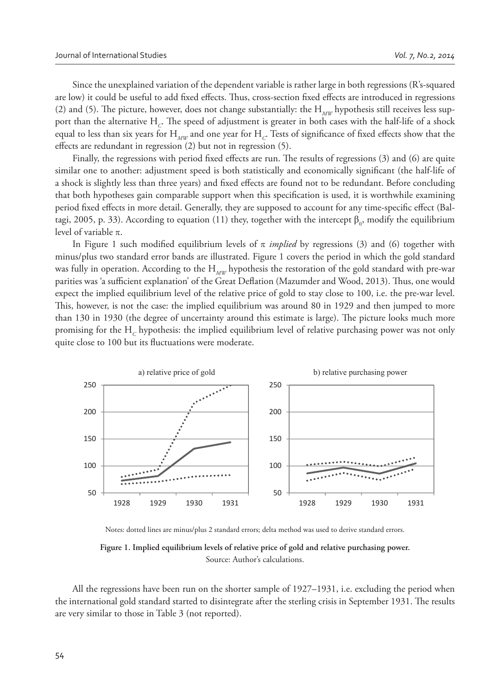Since the unexplained variation of the dependent variable is rather large in both regressions (R's-squared are low) it could be useful to add fixed effects. Thus, cross-section fixed effects are introduced in regressions (2) and (5). The picture, however, does not change substantially: the H<sub>MW</sub> hypothesis still receives less support than the alternative  $\rm H_{\mathcal C}$ . The speed of adjustment is greater in both cases with the half-life of a shock equal to less than six years for  $H_{_{\!M\!W}}$  and one year for  $H_{_{\!C}}$ . Tests of significance of fixed effects show that the effects are redundant in regression  $(2)$  but not in regression  $(5)$ .

Finally, the regressions with period fixed effects are run. The results of regressions (3) and (6) are quite similar one to another: adjustment speed is both statistically and economically significant (the half-life of a shock is slightly less than three years) and fixed effects are found not to be redundant. Before concluding that both hypotheses gain comparable support when this specification is used, it is worthwhile examining period fixed effects in more detail. Generally, they are supposed to account for any time-specific effect (Baltagi, 2005, p. 33). According to equation (11) they, together with the intercept  $\beta_0$ , modify the equilibrium level of variable  $\pi$ .

In Figure 1 such modified equilibrium levels of  $\pi$  *implied* by regressions (3) and (6) together with minus/plus two standard error bands are illustrated. Figure 1 covers the period in which the gold standard was fully in operation. According to the H<sub>MW</sub> hypothesis the restoration of the gold standard with pre-war parities was 'a sufficient explanation' of the Great Deflation (Mazumder and Wood, 2013). Thus, one would expect the implied equilibrium level of the relative price of gold to stay close to 100, i.e. the pre-war level. This, however, is not the case: the implied equilibrium was around 80 in 1929 and then jumped to more than 130 in 1930 (the degree of uncertainty around this estimate is large). The picture looks much more promising for the  $\mathrm{H}_c$  hypothesis: the implied equilibrium level of relative purchasing power was not only quite close to 100 but its fluctuations were moderate.



Notes: dotted lines are minus/plus 2 standard errors; delta method was used to derive standard errors.



All the regressions have been run on the shorter sample of 1927–1931, i.e. excluding the period when the international gold standard started to disintegrate after the sterling crisis in September 1931. The results are very similar to those in Table 3 (not reported).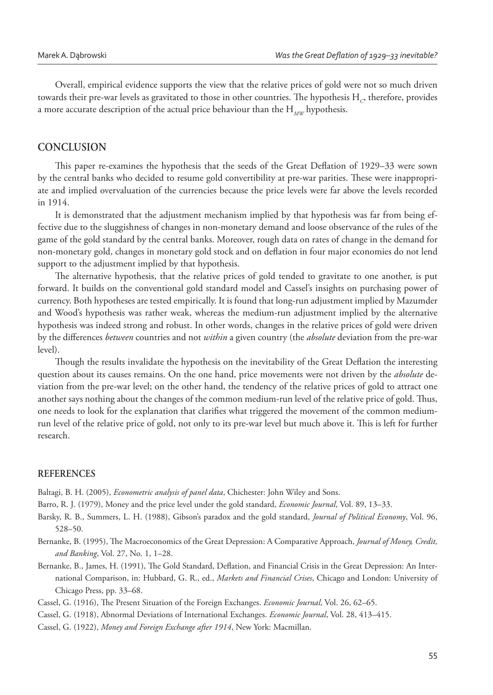Overall, empirical evidence supports the view that the relative prices of gold were not so much driven towards their pre-war levels as gravitated to those in other countries. The hypothesis  $\mathrm{H}_{_{C}}$ , therefore, provides a more accurate description of the actual price behaviour than the H<sub>MW</sub> hypothesis.

## **CONCLUSION**

This paper re-examines the hypothesis that the seeds of the Great Deflation of 1929–33 were sown by the central banks who decided to resume gold convertibility at pre-war parities. These were inappropriate and implied overvaluation of the currencies because the price levels were far above the levels recorded in 1914.

It is demonstrated that the adjustment mechanism implied by that hypothesis was far from being effective due to the sluggishness of changes in non-monetary demand and loose observance of the rules of the game of the gold standard by the central banks. Moreover, rough data on rates of change in the demand for non-monetary gold, changes in monetary gold stock and on deflation in four major economies do not lend support to the adjustment implied by that hypothesis.

The alternative hypothesis, that the relative prices of gold tended to gravitate to one another, is put forward. It builds on the conventional gold standard model and Cassel's insights on purchasing power of currency. Both hypotheses are tested empirically. It is found that long-run adjustment implied by Mazumder and Wood's hypothesis was rather weak, whereas the medium-run adjustment implied by the alternative hypothesis was indeed strong and robust. In other words, changes in the relative prices of gold were driven by the differences *between* countries and not *within* a given country (the *absolute* deviation from the pre-war level).

Though the results invalidate the hypothesis on the inevitability of the Great Deflation the interesting question about its causes remains. On the one hand, price movements were not driven by the *absolute* deviation from the pre-war level; on the other hand, the tendency of the relative prices of gold to attract one another says nothing about the changes of the common medium-run level of the relative price of gold. Thus, one needs to look for the explanation that clarifies what triggered the movement of the common mediumrun level of the relative price of gold, not only to its pre-war level but much above it. This is left for further research.

### **REFERENCES**

Baltagi, B. H. (2005), *Econometric analysis of panel data*, Chichester: John Wiley and Sons.

Barro, R. J. (1979), Money and the price level under the gold standard, *Economic Journal*, Vol. 89, 13–33.

Barsky, R. B., Summers, L. H. (1988), Gibson's paradox and the gold standard, *Journal of Political Economy*, Vol. 96, 528–50.

- Bernanke, B. (1995), The Macroeconomics of the Great Depression: A Comparative Approach, *Journal of Money, Credit, and Banking*, Vol. 27, No. 1, 1–28.
- Bernanke, B., James, H. (1991), The Gold Standard, Deflation, and Financial Crisis in the Great Depression: An International Comparison, in: Hubbard, G. R., ed., *Markets and Financial Crises*, Chicago and London: University of Chicago Press, pp. 33–68.

Cassel, G. (1916), The Present Situation of the Foreign Exchanges. *Economic Journal*, Vol. 26, 62–65.

Cassel, G. (1918), Abnormal Deviations of International Exchanges. *Economic Journal*, Vol. 28, 413–415.

Cassel, G. (1922), *Money and Foreign Exchange after 1914*, New York: Macmillan.